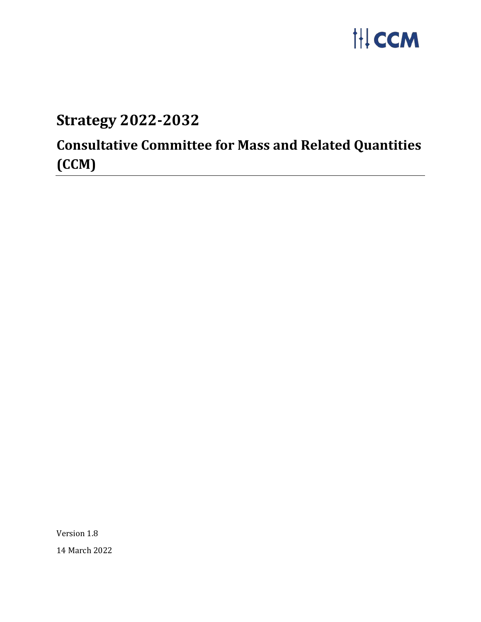

## **Strategy 2022-2032**

# **Consultative Committee for Mass and Related Quantities (CCM)**

Version 1.8 14 March 2022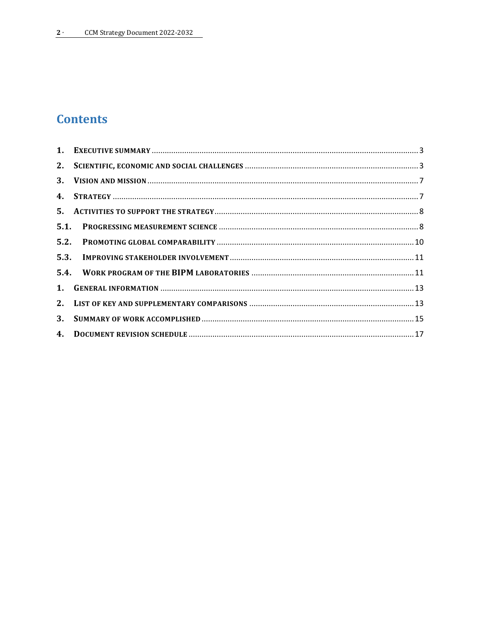## **Contents**

| 2. |  |
|----|--|
|    |  |
|    |  |
|    |  |
|    |  |
|    |  |
|    |  |
|    |  |
|    |  |
|    |  |
| 3. |  |
|    |  |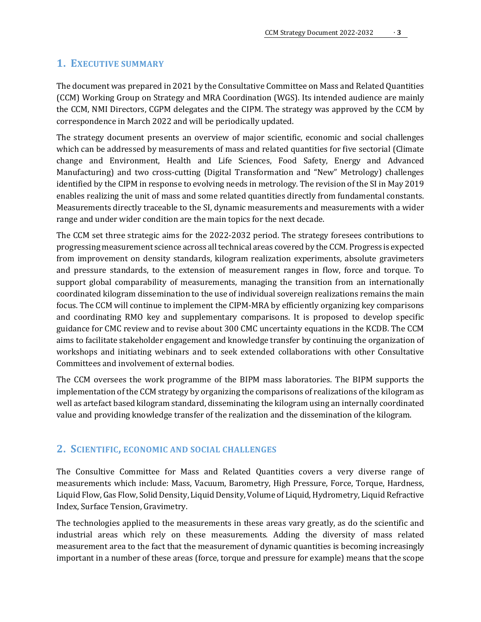## <span id="page-2-0"></span>**1. EXECUTIVE SUMMARY**

The document was prepared in 2021 by the Consultative Committee on Mass and Related Quantities (CCM) Working Group on Strategy and MRA Coordination (WGS). Its intended audience are mainly the CCM, NMI Directors, CGPM delegates and the CIPM. The strategy was approved by the CCM by correspondence in March 2022 and will be periodically updated.

The strategy document presents an overview of major scientific, economic and social challenges which can be addressed by measurements of mass and related quantities for five sectorial (Climate change and Environment, Health and Life Sciences, Food Safety, Energy and Advanced Manufacturing) and two cross-cutting (Digital Transformation and "New" Metrology) challenges identified by the CIPM in response to evolving needs in metrology. The revision of the SI in May 2019 enables realizing the unit of mass and some related quantities directly from fundamental constants. Measurements directly traceable to the SI, dynamic measurements and measurements with a wider range and under wider condition are the main topics for the next decade.

The CCM set three strategic aims for the 2022-2032 period. The strategy foresees contributions to progressing measurement science across all technical areas covered by the CCM. Progress is expected from improvement on density standards, kilogram realization experiments, absolute gravimeters and pressure standards, to the extension of measurement ranges in flow, force and torque. To support global comparability of measurements, managing the transition from an internationally coordinated kilogram dissemination to the use of individual sovereign realizations remains the main focus. The CCM will continue to implement the CIPM-MRA by efficiently organizing key comparisons and coordinating RMO key and supplementary comparisons. It is proposed to develop specific guidance for CMC review and to revise about 300 CMC uncertainty equations in the KCDB. The CCM aims to facilitate stakeholder engagement and knowledge transfer by continuing the organization of workshops and initiating webinars and to seek extended collaborations with other Consultative Committees and involvement of external bodies.

The CCM oversees the work programme of the BIPM mass laboratories. The BIPM supports the implementation of the CCM strategy by organizing the comparisons of realizations of the kilogram as well as artefact based kilogram standard, disseminating the kilogram using an internally coordinated value and providing knowledge transfer of the realization and the dissemination of the kilogram.

## <span id="page-2-1"></span>**2. SCIENTIFIC, ECONOMIC AND SOCIAL CHALLENGES**

The Consultive Committee for Mass and Related Quantities covers a very diverse range of measurements which include: Mass, Vacuum, Barometry, High Pressure, Force, Torque, Hardness, Liquid Flow, Gas Flow, Solid Density, Liquid Density, Volume of Liquid, Hydrometry, Liquid Refractive Index, Surface Tension, Gravimetry.

The technologies applied to the measurements in these areas vary greatly, as do the scientific and industrial areas which rely on these measurements. Adding the diversity of mass related measurement area to the fact that the measurement of dynamic quantities is becoming increasingly important in a number of these areas (force, torque and pressure for example) means that the scope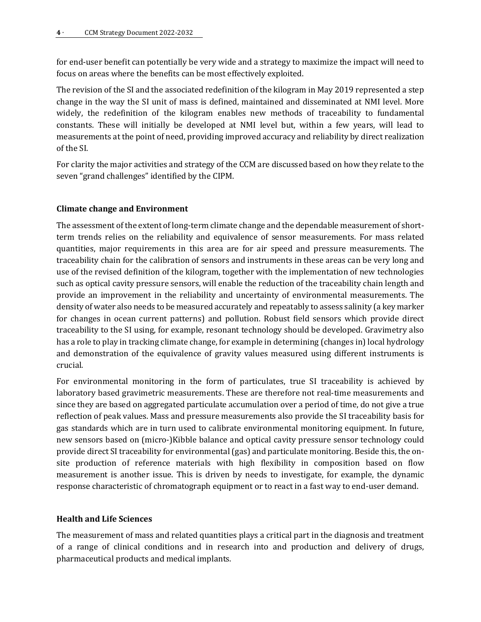for end-user benefit can potentially be very wide and a strategy to maximize the impact will need to focus on areas where the benefits can be most effectively exploited.

The revision of the SI and the associated redefinition of the kilogram in May 2019 represented a step change in the way the SI unit of mass is defined, maintained and disseminated at NMI level. More widely, the redefinition of the kilogram enables new methods of traceability to fundamental constants. These will initially be developed at NMI level but, within a few years, will lead to measurements at the point of need, providing improved accuracy and reliability by direct realization of the SI.

For clarity the major activities and strategy of the CCM are discussed based on how they relate to the seven "grand challenges" identified by the CIPM.

#### **Climate change and Environment**

The assessment of the extent of long-term climate change and the dependable measurement of shortterm trends relies on the reliability and equivalence of sensor measurements. For mass related quantities, major requirements in this area are for air speed and pressure measurements. The traceability chain for the calibration of sensors and instruments in these areas can be very long and use of the revised definition of the kilogram, together with the implementation of new technologies such as optical cavity pressure sensors, will enable the reduction of the traceability chain length and provide an improvement in the reliability and uncertainty of environmental measurements. The density of water also needs to be measured accurately and repeatably to assess salinity (a key marker for changes in ocean current patterns) and pollution. Robust field sensors which provide direct traceability to the SI using, for example, resonant technology should be developed. Gravimetry also has a role to play in tracking climate change, for example in determining (changes in) local hydrology and demonstration of the equivalence of gravity values measured using different instruments is crucial.

For environmental monitoring in the form of particulates, true SI traceability is achieved by laboratory based gravimetric measurements. These are therefore not real-time measurements and since they are based on aggregated particulate accumulation over a period of time, do not give a true reflection of peak values. Mass and pressure measurements also provide the SI traceability basis for gas standards which are in turn used to calibrate environmental monitoring equipment. In future, new sensors based on (micro-)Kibble balance and optical cavity pressure sensor technology could provide direct SI traceability for environmental (gas) and particulate monitoring. Beside this, the onsite production of reference materials with high flexibility in composition based on flow measurement is another issue. This is driven by needs to investigate, for example, the dynamic response characteristic of chromatograph equipment or to react in a fast way to end-user demand.

#### **Health and Life Sciences**

The measurement of mass and related quantities plays a critical part in the diagnosis and treatment of a range of clinical conditions and in research into and production and delivery of drugs, pharmaceutical products and medical implants.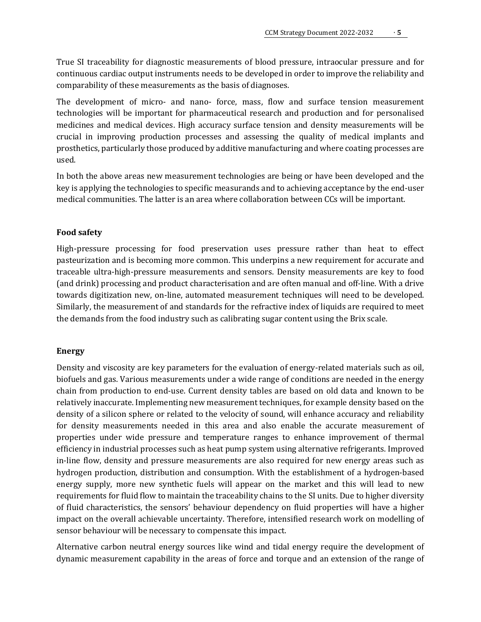True SI traceability for diagnostic measurements of blood pressure, intraocular pressure and for continuous cardiac output instruments needs to be developed in order to improve the reliability and comparability of these measurements as the basis of diagnoses.

The development of micro- and nano- force, mass, flow and surface tension measurement technologies will be important for pharmaceutical research and production and for personalised medicines and medical devices. High accuracy surface tension and density measurements will be crucial in improving production processes and assessing the quality of medical implants and prosthetics, particularly those produced by additive manufacturing and where coating processes are used.

In both the above areas new measurement technologies are being or have been developed and the key is applying the technologies to specific measurands and to achieving acceptance by the end-user medical communities. The latter is an area where collaboration between CCs will be important.

#### **Food safety**

High-pressure processing for food preservation uses pressure rather than heat to effect pasteurization and is becoming more common. This underpins a new requirement for accurate and traceable ultra-high-pressure measurements and sensors. Density measurements are key to food (and drink) processing and product characterisation and are often manual and off-line. With a drive towards digitization new, on-line, automated measurement techniques will need to be developed. Similarly, the measurement of and standards for the refractive index of liquids are required to meet the demands from the food industry such as calibrating sugar content using the Brix scale.

#### **Energy**

Density and viscosity are key parameters for the evaluation of energy-related materials such as oil, biofuels and gas. Various measurements under a wide range of conditions are needed in the energy chain from production to end-use. Current density tables are based on old data and known to be relatively inaccurate. Implementing new measurement techniques, for example density based on the density of a silicon sphere or related to the velocity of sound, will enhance accuracy and reliability for density measurements needed in this area and also enable the accurate measurement of properties under wide pressure and temperature ranges to enhance improvement of thermal efficiency in industrial processes such as heat pump system using alternative refrigerants. Improved in-line flow, density and pressure measurements are also required for new energy areas such as hydrogen production, distribution and consumption. With the establishment of a hydrogen-based energy supply, more new synthetic fuels will appear on the market and this will lead to new requirements for fluid flow to maintain the traceability chains to the SI units. Due to higher diversity of fluid characteristics, the sensors' behaviour dependency on fluid properties will have a higher impact on the overall achievable uncertainty. Therefore, intensified research work on modelling of sensor behaviour will be necessary to compensate this impact.

Alternative carbon neutral energy sources like wind and tidal energy require the development of dynamic measurement capability in the areas of force and torque and an extension of the range of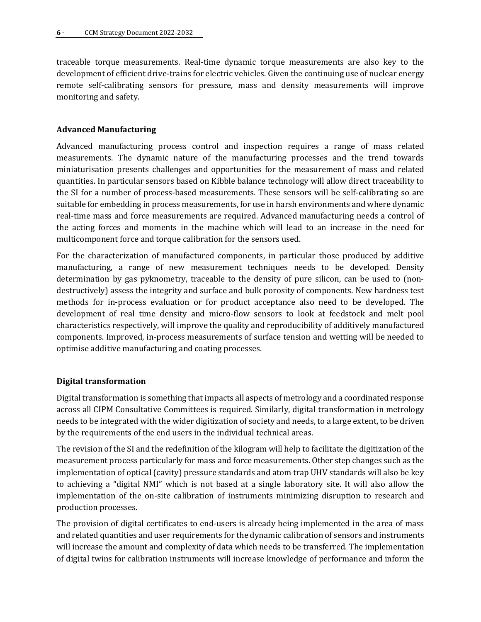traceable torque measurements. Real-time dynamic torque measurements are also key to the development of efficient drive-trains for electric vehicles. Given the continuing use of nuclear energy remote self-calibrating sensors for pressure, mass and density measurements will improve monitoring and safety.

#### **Advanced Manufacturing**

Advanced manufacturing process control and inspection requires a range of mass related measurements. The dynamic nature of the manufacturing processes and the trend towards miniaturisation presents challenges and opportunities for the measurement of mass and related quantities. In particular sensors based on Kibble balance technology will allow direct traceability to the SI for a number of process-based measurements. These sensors will be self-calibrating so are suitable for embedding in process measurements, for use in harsh environments and where dynamic real-time mass and force measurements are required. Advanced manufacturing needs a control of the acting forces and moments in the machine which will lead to an increase in the need for multicomponent force and torque calibration for the sensors used.

For the characterization of manufactured components, in particular those produced by additive manufacturing, a range of new measurement techniques needs to be developed. Density determination by gas pyknometry, traceable to the density of pure silicon, can be used to (nondestructively) assess the integrity and surface and bulk porosity of components. New hardness test methods for in-process evaluation or for product acceptance also need to be developed. The development of real time density and micro-flow sensors to look at feedstock and melt pool characteristics respectively, will improve the quality and reproducibility of additively manufactured components. Improved, in-process measurements of surface tension and wetting will be needed to optimise additive manufacturing and coating processes.

#### **Digital transformation**

Digital transformation is something that impacts all aspects of metrology and a coordinated response across all CIPM Consultative Committees is required. Similarly, digital transformation in metrology needs to be integrated with the wider digitization of society and needs, to a large extent, to be driven by the requirements of the end users in the individual technical areas.

The revision of the SI and the redefinition of the kilogram will help to facilitate the digitization of the measurement process particularly for mass and force measurements. Other step changes such as the implementation of optical (cavity) pressure standards and atom trap UHV standards will also be key to achieving a "digital NMI" which is not based at a single laboratory site. It will also allow the implementation of the on-site calibration of instruments minimizing disruption to research and production processes.

The provision of digital certificates to end-users is already being implemented in the area of mass and related quantities and user requirements for the dynamic calibration of sensors and instruments will increase the amount and complexity of data which needs to be transferred. The implementation of digital twins for calibration instruments will increase knowledge of performance and inform the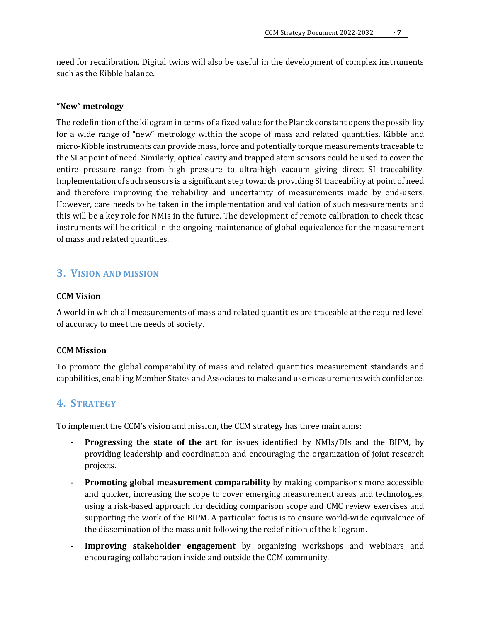need for recalibration. Digital twins will also be useful in the development of complex instruments such as the Kibble balance.

#### **"New" metrology**

The redefinition of the kilogram in terms of a fixed value for the Planck constant opens the possibility for a wide range of "new" metrology within the scope of mass and related quantities. Kibble and micro-Kibble instruments can provide mass, force and potentially torque measurements traceable to the SI at point of need. Similarly, optical cavity and trapped atom sensors could be used to cover the entire pressure range from high pressure to ultra-high vacuum giving direct SI traceability. Implementation of such sensors is a significant step towards providing SI traceability at point of need and therefore improving the reliability and uncertainty of measurements made by end-users. However, care needs to be taken in the implementation and validation of such measurements and this will be a key role for NMIs in the future. The development of remote calibration to check these instruments will be critical in the ongoing maintenance of global equivalence for the measurement of mass and related quantities.

## <span id="page-6-0"></span>**3. VISION AND MISSION**

#### **CCM Vision**

A world in which all measurements of mass and related quantities are traceable at the required level of accuracy to meet the needs of society.

#### **CCM Mission**

To promote the global comparability of mass and related quantities measurement standards and capabilities, enabling Member States and Associates to make and use measurements with confidence.

## <span id="page-6-1"></span>**4. STRATEGY**

To implement the CCM's vision and mission, the CCM strategy has three main aims:

- **Progressing the state of the art** for issues identified by NMIs/DIs and the BIPM, by providing leadership and coordination and encouraging the organization of joint research projects.
- **Promoting global measurement comparability** by making comparisons more accessible and quicker, increasing the scope to cover emerging measurement areas and technologies, using a risk-based approach for deciding comparison scope and CMC review exercises and supporting the work of the BIPM. A particular focus is to ensure world-wide equivalence of the dissemination of the mass unit following the redefinition of the kilogram.
- **Improving stakeholder engagement** by organizing workshops and webinars and encouraging collaboration inside and outside the CCM community.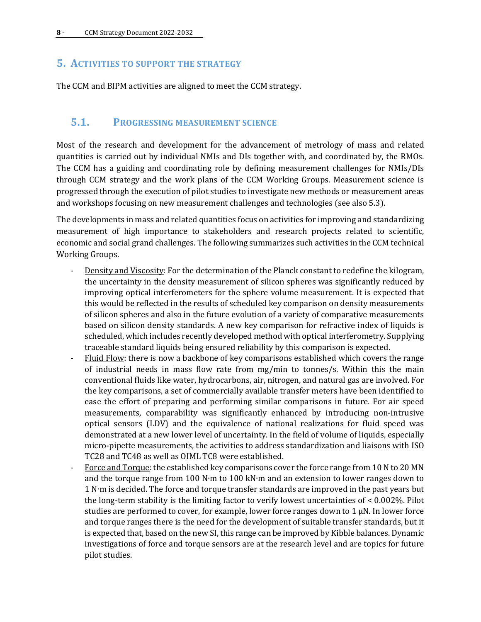## <span id="page-7-0"></span>**5. ACTIVITIES TO SUPPORT THE STRATEGY**

The CCM and BIPM activities are aligned to meet the CCM strategy.

#### <span id="page-7-1"></span>**5.1. PROGRESSING MEASUREMENT SCIENCE**

Most of the research and development for the advancement of metrology of mass and related quantities is carried out by individual NMIs and DIs together with, and coordinated by, the RMOs. The CCM has a guiding and coordinating role by defining measurement challenges for NMIs/DIs through CCM strategy and the work plans of the CCM Working Groups. Measurement science is progressed through the execution of pilot studies to investigate new methods or measurement areas and workshops focusing on new measurement challenges and technologies (see also 5.3).

The developments in mass and related quantities focus on activities for improving and standardizing measurement of high importance to stakeholders and research projects related to scientific, economic and social grand challenges. The following summarizes such activities in the CCM technical Working Groups.

- Density and Viscosity: For the determination of the Planck constant to redefine the kilogram, the uncertainty in the density measurement of silicon spheres was significantly reduced by improving optical interferometers for the sphere volume measurement. It is expected that this would be reflected in the results of scheduled key comparison on density measurements of silicon spheres and also in the future evolution of a variety of comparative measurements based on silicon density standards. A new key comparison for refractive index of liquids is scheduled, which includes recently developed method with optical interferometry. Supplying traceable standard liquids being ensured reliability by this comparison is expected.
- Fluid Flow: there is now a backbone of key comparisons established which covers the range of industrial needs in mass flow rate from mg/min to tonnes/s. Within this the main conventional fluids like water, hydrocarbons, air, nitrogen, and natural gas are involved. For the key comparisons, a set of commercially available transfer meters have been identified to ease the effort of preparing and performing similar comparisons in future. For air speed measurements, comparability was significantly enhanced by introducing non-intrusive optical sensors (LDV) and the equivalence of national realizations for fluid speed was demonstrated at a new lower level of uncertainty. In the field of volume of liquids, especially micro-pipette measurements, the activities to address standardization and liaisons with ISO TC28 and TC48 as well as OIML TC8 were established.
- Force and Torque: the established key comparisons cover the force range from 10 N to 20 MN and the torque range from 100 N∙m to 100 kN∙m and an extension to lower ranges down to 1 N∙m is decided. The force and torque transfer standards are improved in the past years but the long-term stability is the limiting factor to verify lowest uncertainties of  $\leq 0.002\%$ . Pilot studies are performed to cover, for example, lower force ranges down to  $1 \mu N$ . In lower force and torque ranges there is the need for the development of suitable transfer standards, but it is expected that, based on the new SI, this range can be improved by Kibble balances. Dynamic investigations of force and torque sensors are at the research level and are topics for future pilot studies.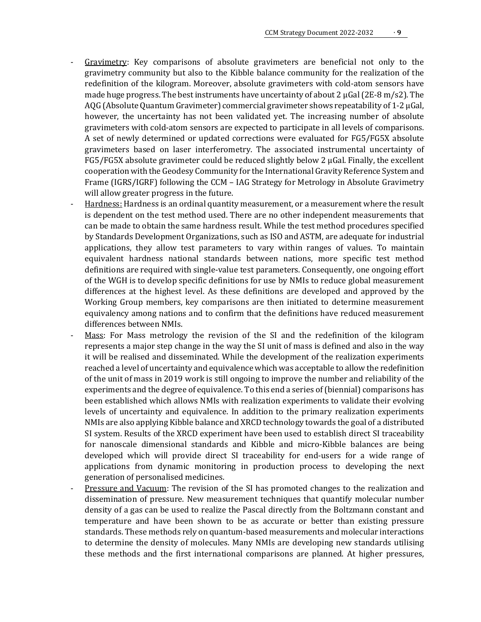- Gravimetry: Key comparisons of absolute gravimeters are beneficial not only to the gravimetry community but also to the Kibble balance community for the realization of the redefinition of the kilogram. Moreover, absolute gravimeters with cold-atom sensors have made huge progress. The best instruments have uncertainty of about 2  $\mu$ Gal (2E-8 m/s2). The AQG (Absolute Quantum Gravimeter) commercial gravimeter shows repeatability of 1-2 µGal, however, the uncertainty has not been validated yet. The increasing number of absolute gravimeters with cold-atom sensors are expected to participate in all levels of comparisons. A set of newly determined or updated corrections were evaluated for FG5/FG5X absolute gravimeters based on laser interferometry. The associated instrumental uncertainty of  $FG5/FG5X$  absolute gravimeter could be reduced slightly below 2  $\mu$ Gal. Finally, the excellent cooperation with the Geodesy Community for the International Gravity Reference System and Frame (IGRS/IGRF) following the CCM – IAG Strategy for Metrology in Absolute Gravimetry will allow greater progress in the future.
- Hardness: Hardness is an ordinal quantity measurement, or a measurement where the result is dependent on the test method used. There are no other independent measurements that can be made to obtain the same hardness result. While the test method procedures specified by Standards Development Organizations, such as ISO and ASTM, are adequate for industrial applications, they allow test parameters to vary within ranges of values. To maintain equivalent hardness national standards between nations, more specific test method definitions are required with single-value test parameters. Consequently, one ongoing effort of the WGH is to develop specific definitions for use by NMIs to reduce global measurement differences at the highest level. As these definitions are developed and approved by the Working Group members, key comparisons are then initiated to determine measurement equivalency among nations and to confirm that the definitions have reduced measurement differences between NMIs.
- Mass: For Mass metrology the revision of the SI and the redefinition of the kilogram represents a major step change in the way the SI unit of mass is defined and also in the way it will be realised and disseminated. While the development of the realization experiments reached a level of uncertainty and equivalence which was acceptable to allow the redefinition of the unit of mass in 2019 work is still ongoing to improve the number and reliability of the experiments and the degree of equivalence. To this end a series of (biennial) comparisons has been established which allows NMIs with realization experiments to validate their evolving levels of uncertainty and equivalence. In addition to the primary realization experiments NMIs are also applying Kibble balance and XRCD technology towards the goal of a distributed SI system. Results of the XRCD experiment have been used to establish direct SI traceability for nanoscale dimensional standards and Kibble and micro-Kibble balances are being developed which will provide direct SI traceability for end-users for a wide range of applications from dynamic monitoring in production process to developing the next generation of personalised medicines.
- Pressure and Vacuum: The revision of the SI has promoted changes to the realization and dissemination of pressure. New measurement techniques that quantify molecular number density of a gas can be used to realize the Pascal directly from the Boltzmann constant and temperature and have been shown to be as accurate or better than existing pressure standards. These methods rely on quantum-based measurements and molecular interactions to determine the density of molecules. Many NMIs are developing new standards utilising these methods and the first international comparisons are planned. At higher pressures,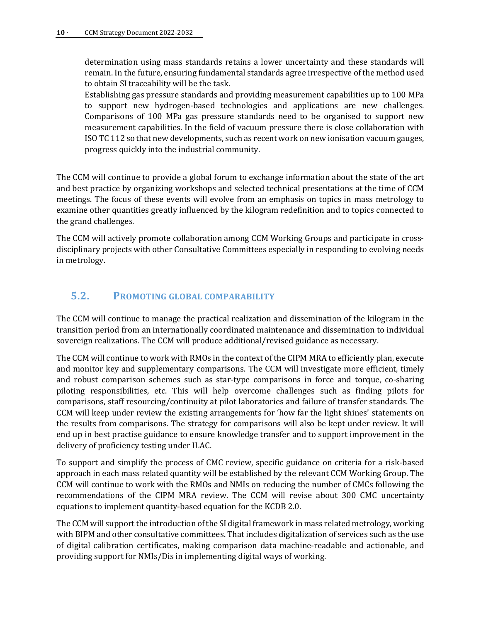determination using mass standards retains a lower uncertainty and these standards will remain. In the future, ensuring fundamental standards agree irrespective of the method used to obtain SI traceability will be the task.

Establishing gas pressure standards and providing measurement capabilities up to 100 MPa to support new hydrogen-based technologies and applications are new challenges. Comparisons of 100 MPa gas pressure standards need to be organised to support new measurement capabilities. In the field of vacuum pressure there is close collaboration with ISO TC 112 so that new developments, such as recent work on new ionisation vacuum gauges, progress quickly into the industrial community.

The CCM will continue to provide a global forum to exchange information about the state of the art and best practice by organizing workshops and selected technical presentations at the time of CCM meetings. The focus of these events will evolve from an emphasis on topics in mass metrology to examine other quantities greatly influenced by the kilogram redefinition and to topics connected to the grand challenges.

The CCM will actively promote collaboration among CCM Working Groups and participate in crossdisciplinary projects with other Consultative Committees especially in responding to evolving needs in metrology.

## <span id="page-9-0"></span>**5.2. PROMOTING GLOBAL COMPARABILITY**

The CCM will continue to manage the practical realization and dissemination of the kilogram in the transition period from an internationally coordinated maintenance and dissemination to individual sovereign realizations. The CCM will produce additional/revised guidance as necessary.

The CCM will continue to work with RMOs in the context of the CIPM MRA to efficiently plan, execute and monitor key and supplementary comparisons. The CCM will investigate more efficient, timely and robust comparison schemes such as star-type comparisons in force and torque, co-sharing piloting responsibilities, etc. This will help overcome challenges such as finding pilots for comparisons, staff resourcing/continuity at pilot laboratories and failure of transfer standards. The CCM will keep under review the existing arrangements for 'how far the light shines' statements on the results from comparisons. The strategy for comparisons will also be kept under review. It will end up in best practise guidance to ensure knowledge transfer and to support improvement in the delivery of proficiency testing under ILAC.

To support and simplify the process of CMC review, specific guidance on criteria for a risk-based approach in each mass related quantity will be established by the relevant CCM Working Group. The CCM will continue to work with the RMOs and NMIs on reducing the number of CMCs following the recommendations of the CIPM MRA review. The CCM will revise about 300 CMC uncertainty equations to implement quantity-based equation for the KCDB 2.0.

The CCM will support the introduction of the SI digital framework in mass related metrology, working with BIPM and other consultative committees. That includes digitalization of services such as the use of digital calibration certificates, making comparison data machine-readable and actionable, and providing support for NMIs/Dis in implementing digital ways of working.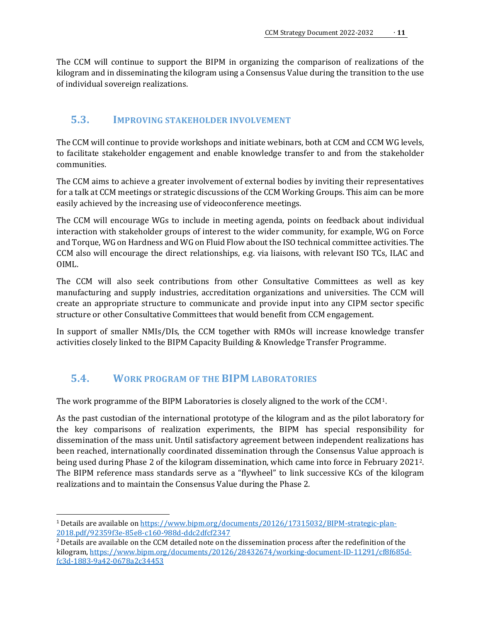The CCM will continue to support the BIPM in organizing the comparison of realizations of the kilogram and in disseminating the kilogram using a Consensus Value during the transition to the use of individual sovereign realizations.

## <span id="page-10-0"></span>**5.3. IMPROVING STAKEHOLDER INVOLVEMENT**

The CCM will continue to provide workshops and initiate webinars, both at CCM and CCM WG levels, to facilitate stakeholder engagement and enable knowledge transfer to and from the stakeholder communities.

The CCM aims to achieve a greater involvement of external bodies by inviting their representatives for a talk at CCM meetings or strategic discussions of the CCM Working Groups. This aim can be more easily achieved by the increasing use of videoconference meetings.

The CCM will encourage WGs to include in meeting agenda, points on feedback about individual interaction with stakeholder groups of interest to the wider community, for example, WG on Force and Torque, WG on Hardness and WG on Fluid Flow about the ISO technical committee activities. The CCM also will encourage the direct relationships, e.g. via liaisons, with relevant ISO TCs, ILAC and OIML.

The CCM will also seek contributions from other Consultative Committees as well as key manufacturing and supply industries, accreditation organizations and universities. The CCM will create an appropriate structure to communicate and provide input into any CIPM sector specific structure or other Consultative Committees that would benefit from CCM engagement.

In support of smaller NMIs/DIs, the CCM together with RMOs will increase knowledge transfer activities closely linked to the BIPM Capacity Building & Knowledge Transfer Programme.

## <span id="page-10-1"></span>**5.4. WORK PROGRAM OF THE BIPM LABORATORIES**

The work programme of the BIPM Laboratories is closely aligned to the work of the CCM[1.](#page-10-2)

As the past custodian of the international prototype of the kilogram and as the pilot laboratory for the key comparisons of realization experiments, the BIPM has special responsibility for dissemination of the mass unit. Until satisfactory agreement between independent realizations has been reached, internationally coordinated dissemination through the Consensus Value approach is being used during Phase 2 of the kilogram dissemination, which came into force in February 2021[2.](#page-10-3) The BIPM reference mass standards serve as a "flywheel" to link successive KCs of the kilogram realizations and to maintain the Consensus Value during the Phase 2.

<span id="page-10-2"></span><sup>&</sup>lt;sup>1</sup> Details are available on https://www.bipm.org/documents/20126/17315032/BIPM-strategic-plan-<br>2018.pdf/92359f3e-85e8-c160-988d-ddc2dfcf2347

<span id="page-10-3"></span> $<sup>2</sup>$  Details are available on the CCM detailed note on the dissemination process after the redefinition of the</sup> kilogram, https://www.bipm.org/documents/20126/28432674/working-document-ID-11291/cf8f685dfc3d-1883-9a42-0678a2c34453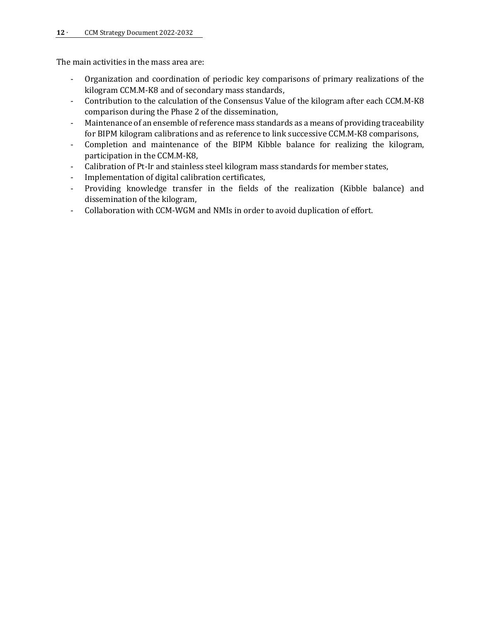The main activities in the mass area are:

- Organization and coordination of periodic key comparisons of primary realizations of the kilogram CCM.M-K8 and of secondary mass standards,
- Contribution to the calculation of the Consensus Value of the kilogram after each CCM.M-K8 comparison during the Phase 2 of the dissemination,
- Maintenance of an ensemble of reference mass standards as a means of providing traceability for BIPM kilogram calibrations and as reference to link successive CCM.M-K8 comparisons,
- Completion and maintenance of the BIPM Kibble balance for realizing the kilogram, participation in the CCM.M-K8,
- Calibration of Pt-Ir and stainless steel kilogram mass standards for member states,
- Implementation of digital calibration certificates,
- Providing knowledge transfer in the fields of the realization (Kibble balance) and dissemination of the kilogram,
- Collaboration with CCM-WGM and NMIs in order to avoid duplication of effort.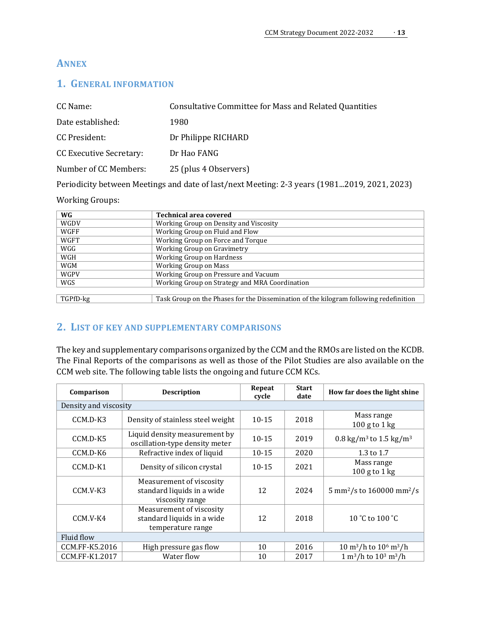## **ANNEX**

## <span id="page-12-0"></span>**1. GENERAL INFORMATION**

| CC Name:                | Consultative Committee for Mass and Related Quantities |
|-------------------------|--------------------------------------------------------|
| Date established:       | 1980                                                   |
| CC President:           | Dr Philippe RICHARD                                    |
| CC Executive Secretary: | Dr Hao FANG                                            |
| Number of CC Members:   | 25 (plus 4 Observers)                                  |

Periodicity between Meetings and date of last/next Meeting: 2-3 years (1981...2019, 2021, 2023)

#### Working Groups:

| WG          | <b>Technical area covered</b>                                                         |
|-------------|---------------------------------------------------------------------------------------|
| WGDV        | Working Group on Density and Viscosity                                                |
| WGFF        | Working Group on Fluid and Flow                                                       |
| WGFT        | Working Group on Force and Torque                                                     |
| WGG         | Working Group on Gravimetry                                                           |
| WGH         | Working Group on Hardness                                                             |
| <b>WGM</b>  | Working Group on Mass                                                                 |
| <b>WGPV</b> | Working Group on Pressure and Vacuum                                                  |
| WGS         | Working Group on Strategy and MRA Coordination                                        |
|             |                                                                                       |
| TGPfD-kg    | Task Group on the Phases for the Dissemination of the kilogram following redefinition |

## <span id="page-12-1"></span>**2. LIST OF KEY AND SUPPLEMENTARY COMPARISONS**

The key and supplementary comparisons organized by the CCM and the RMOs are listed on the KCDB. The Final Reports of the comparisons as well as those of the Pilot Studies are also available on the CCM web site. The following table lists the ongoing and future CCM KCs.

| Comparison            | <b>Description</b>                                                          | Repeat<br>cycle | <b>Start</b><br>date | How far does the light shine                             |  |
|-----------------------|-----------------------------------------------------------------------------|-----------------|----------------------|----------------------------------------------------------|--|
| Density and viscosity |                                                                             |                 |                      |                                                          |  |
| CCM.D-K3              | Density of stainless steel weight                                           | $10 - 15$       | 2018                 | Mass range<br>$100$ g to $1$ kg                          |  |
| CCM.D-K5              | Liquid density measurement by<br>oscillation-type density meter             | $10 - 15$       | 2019                 | 0.8 kg/m <sup>3</sup> to 1.5 kg/m <sup>3</sup>           |  |
| CCM.D-K6              | Refractive index of liquid                                                  | $10 - 15$       | 2020                 | 1.3 to 1.7                                               |  |
| $CCM.D-K1$            | Density of silicon crystal                                                  | $10-15$         | 2021                 | Mass range<br>$100$ g to $1$ kg                          |  |
| CCM.V-K3              | Measurement of viscosity<br>standard liquids in a wide<br>viscosity range   | 12              | 2024                 | 5 mm <sup>2</sup> /s to 160000 mm <sup>2</sup> /s        |  |
| CCM.V-K4              | Measurement of viscosity<br>standard liquids in a wide<br>temperature range | 12              | 2018                 | 10 °C to 100 °C                                          |  |
| Fluid flow            |                                                                             |                 |                      |                                                          |  |
| CCM.FF-K5.2016        | High pressure gas flow                                                      | 10              | 2016                 | $10 \text{ m}^3/\text{h}$ to $10^6 \text{ m}^3/\text{h}$ |  |
| CCM.FF-K1.2017        | Water flow                                                                  | 10              | 2017                 | $1 m3/h$ to $103 m3/h$                                   |  |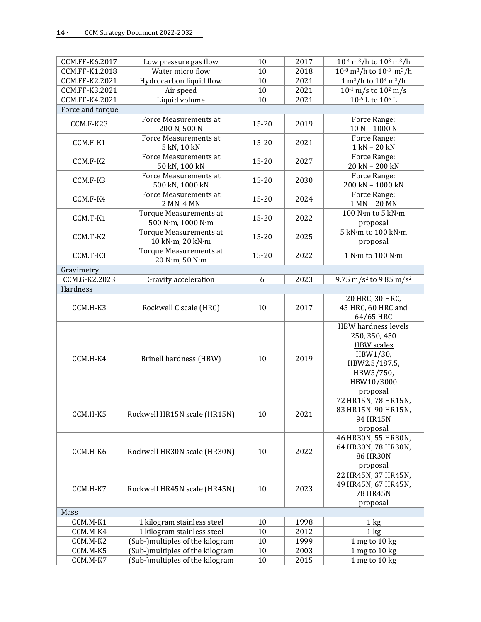| CCM.FF-K6.2017      |                                           | 10        | 2017 | $10^{-4}$ m <sup>3</sup> /h to $10^{3}$ m <sup>3</sup> /h                |  |  |  |
|---------------------|-------------------------------------------|-----------|------|--------------------------------------------------------------------------|--|--|--|
| CCM.FF-K1.2018      | Low pressure gas flow<br>Water micro flow | 10        | 2018 | $10^{-8}$ m <sup>3</sup> /h to $10^{-3}$ m <sup>3</sup> /h               |  |  |  |
| CCM.FF-K2.2021      |                                           | 10        | 2021 | $1 \text{ m}^3/h$ to $10^3 \text{ m}^3/h$                                |  |  |  |
| CCM.FF-K3.2021      | Hydrocarbon liquid flow                   | 10        | 2021 |                                                                          |  |  |  |
|                     | Air speed                                 |           | 2021 | $10^{-1}$ m/s to $10^{2}$ m/s<br>10 <sup>-6</sup> L to 10 <sup>6</sup> L |  |  |  |
| CCM.FF-K4.2021      | Liquid volume                             | 10        |      |                                                                          |  |  |  |
|                     | Force and torque                          |           |      |                                                                          |  |  |  |
| CCM.F-K23           | Force Measurements at<br>200 N, 500 N     | $15 - 20$ | 2019 | Force Range:<br>$10 N - 1000 N$                                          |  |  |  |
|                     | Force Measurements at                     |           |      | Force Range:                                                             |  |  |  |
| CCM.F-K1            | 5 kN, 10 kN                               | $15 - 20$ | 2021 | 1 kN - 20 kN                                                             |  |  |  |
|                     | Force Measurements at                     |           |      | Force Range:                                                             |  |  |  |
| CCM.F-K2            | 50 kN, 100 kN                             | $15 - 20$ | 2027 | 20 kN - 200 kN                                                           |  |  |  |
|                     | Force Measurements at                     |           |      | Force Range:                                                             |  |  |  |
| CCM.F-K3            | 500 kN, 1000 kN                           | $15 - 20$ | 2030 | 200 kN - 1000 kN                                                         |  |  |  |
|                     | Force Measurements at                     |           |      | Force Range:                                                             |  |  |  |
| CCM.F-K4            | 2 MN, 4 MN                                | $15 - 20$ | 2024 | 1 MN - 20 MN                                                             |  |  |  |
|                     | <b>Torque Measurements at</b>             |           |      | 100 N·m to 5 kN·m                                                        |  |  |  |
| CCM.T-K1            | 500 N·m, 1000 N·m                         | $15 - 20$ | 2022 | proposal                                                                 |  |  |  |
|                     | <b>Torque Measurements at</b>             |           |      | 5 kN·m to 100 kN·m                                                       |  |  |  |
| CCM.T-K2            | 10 kN·m, 20 kN·m                          | $15 - 20$ | 2025 | proposal                                                                 |  |  |  |
|                     | <b>Torque Measurements at</b>             |           |      |                                                                          |  |  |  |
| CCM.T-K3            | 20 N·m, 50 N·m                            | $15 - 20$ | 2022 | 1 N·m to 100 N·m                                                         |  |  |  |
| Gravimetry          |                                           |           |      |                                                                          |  |  |  |
| CCM.G-K2.2023       | Gravity acceleration                      | 6         | 2023 | 9.75 m/s <sup>2</sup> to 9.85 m/s <sup>2</sup>                           |  |  |  |
| Hardness            |                                           |           |      |                                                                          |  |  |  |
|                     |                                           |           |      | 20 HRC, 30 HRC,                                                          |  |  |  |
| CCM.H-K3            | Rockwell C scale (HRC)                    | 10        | 2017 | 45 HRC, 60 HRC and                                                       |  |  |  |
|                     |                                           |           |      | 64/65 HRC                                                                |  |  |  |
|                     |                                           |           |      | <b>HBW</b> hardness levels                                               |  |  |  |
|                     |                                           | 10        | 2019 | 250, 350, 450                                                            |  |  |  |
|                     |                                           |           |      | <b>HBW</b> scales                                                        |  |  |  |
| CCM.H-K4            |                                           |           |      | HBW1/30,                                                                 |  |  |  |
|                     | Brinell hardness (HBW)                    |           |      | HBW2.5/187.5,                                                            |  |  |  |
|                     |                                           |           |      | HBW5/750,                                                                |  |  |  |
|                     |                                           |           |      | HBW10/3000                                                               |  |  |  |
|                     |                                           |           |      | proposal                                                                 |  |  |  |
|                     |                                           |           |      | 72 HR15N, 78 HR15N,                                                      |  |  |  |
| CCM.H-K5            | Rockwell HR15N scale (HR15N)              | 10        | 2021 | 83 HR15N, 90 HR15N,                                                      |  |  |  |
|                     |                                           |           |      | 94 HR15N                                                                 |  |  |  |
|                     |                                           |           |      | proposal                                                                 |  |  |  |
| 46 HR30N, 55 HR30N, |                                           |           |      |                                                                          |  |  |  |
| CCM.H-K6            | Rockwell HR30N scale (HR30N)              | 10        | 2022 | 64 HR30N, 78 HR30N,                                                      |  |  |  |
|                     |                                           |           |      | <b>86 HR30N</b>                                                          |  |  |  |
|                     |                                           |           |      | proposal                                                                 |  |  |  |
|                     |                                           |           |      | 22 HR45N, 37 HR45N,                                                      |  |  |  |
| CCM.H-K7            | Rockwell HR45N scale (HR45N)              | 10        | 2023 | 49 HR45N, 67 HR45N,                                                      |  |  |  |
|                     |                                           |           |      | 78 HR45N                                                                 |  |  |  |
|                     |                                           |           |      | proposal                                                                 |  |  |  |
| Mass                |                                           |           |      |                                                                          |  |  |  |
| CCM.M-K1            | 1 kilogram stainless steel                | 10        | 1998 | $1 \text{ kg}$                                                           |  |  |  |
| CCM.M-K4            | 1 kilogram stainless steel                | 10        | 2012 | $1 \text{ kg}$                                                           |  |  |  |
| CCM.M-K2            | (Sub-)multiples of the kilogram           | 10        | 1999 | 1 mg to 10 kg                                                            |  |  |  |
| CCM.M-K5            | (Sub-)multiples of the kilogram           | $10\,$    | 2003 | 1 mg to 10 kg                                                            |  |  |  |
| CCM.M-K7            | (Sub-)multiples of the kilogram           | 10        | 2015 | 1 mg to 10 kg                                                            |  |  |  |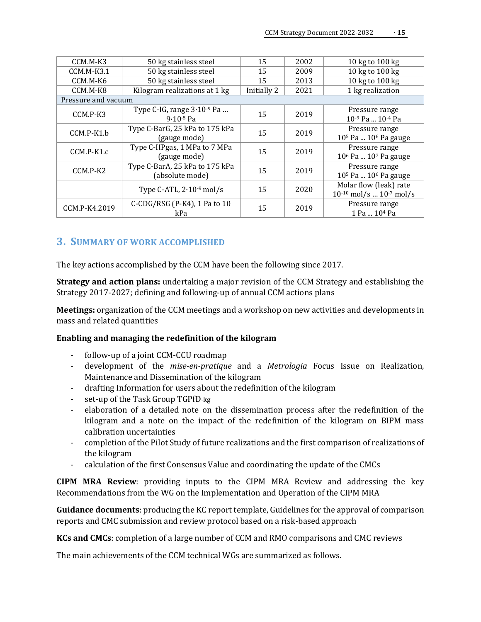| CCM.M-K3      | 50 kg stainless steel                                  | 15          | 2002 | 10 kg to 100 kg                                                |  |  |
|---------------|--------------------------------------------------------|-------------|------|----------------------------------------------------------------|--|--|
| $CCM.M-K3.1$  | 50 kg stainless steel                                  | 15          | 2009 | 10 kg to 100 kg                                                |  |  |
| CCM.M-K6      | 50 kg stainless steel                                  | 15          | 2013 | 10 kg to 100 kg                                                |  |  |
| CCM.M-K8      | Kilogram realizations at 1 kg                          | Initially 2 | 2021 | 1 kg realization                                               |  |  |
|               | Pressure and vacuum                                    |             |      |                                                                |  |  |
| CCM.P-K3      | Type C-IG, range $3 \cdot 10^{-9}$ Pa<br>$9.10 - 5$ Pa | 15          | 2019 | Pressure range<br>10-9 Pa  10-4 Pa                             |  |  |
| CCM.P-K1.b    | Type C-BarG, 25 kPa to 175 kPa<br>(gauge mode)         | 15          | 2019 | Pressure range<br>10 <sup>5</sup> Pa  10 <sup>6</sup> Pa gauge |  |  |
| CCM.P-K1.c    | Type C-HPgas, 1 MPa to 7 MPa<br>(gauge mode)           | 15          | 2019 | Pressure range<br>10 <sup>6</sup> Pa  10 <sup>7</sup> Pa gauge |  |  |
| CCM.P-K2      | Type C-BarA, 25 kPa to 175 kPa<br>(absolute mode)      | 15          | 2019 | Pressure range<br>10 <sup>5</sup> Pa  10 <sup>6</sup> Pa gauge |  |  |
|               | Type C-ATL, $2.10^{-9}$ mol/s                          | 15          | 2020 | Molar flow (leak) rate<br>$10^{-10}$ mol/s $10^{-7}$ mol/s     |  |  |
| CCM.P-K4.2019 | C-CDG/RSG (P-K4), 1 Pa to $10$<br>kPa                  | 15          | 2019 | Pressure range<br>1 Pa  10 <sup>4</sup> Pa                     |  |  |

#### <span id="page-14-0"></span>**3. SUMMARY OF WORK ACCOMPLISHED**

The key actions accomplished by the CCM have been the following since 2017.

**Strategy and action plans:** undertaking a major revision of the CCM Strategy and establishing the Strategy 2017-2027; defining and following-up of annual CCM actions plans

**Meetings:** organization of the CCM meetings and a workshop on new activities and developments in mass and related quantities

#### **Enabling and managing the redefinition of the kilogram**

- follow-up of a joint CCM-CCU roadmap
- development of the *mise-en-pratique* and a *Metrologia* Focus Issue on Realization, Maintenance and Dissemination of the kilogram
- drafting Information for users about the redefinition of the kilogram
- set-up of the Task Group TGPfD-kg
- elaboration of a detailed note on the dissemination process after the redefinition of the kilogram and a note on the impact of the redefinition of the kilogram on BIPM mass calibration uncertainties
- completion of the Pilot Study of future realizations and the first comparison of realizations of the kilogram
- calculation of the first Consensus Value and coordinating the update of the CMCs

**CIPM MRA Review**: providing inputs to the CIPM MRA Review and addressing the key Recommendations from the WG on the Implementation and Operation of the CIPM MRA

**Guidance documents**: producing the KC report template, Guidelines for the approval of comparison reports and CMC submission and review protocol based on a risk-based approach

**KCs and CMCs**: completion of a large number of CCM and RMO comparisons and CMC reviews

The main achievements of the CCM technical WGs are summarized as follows.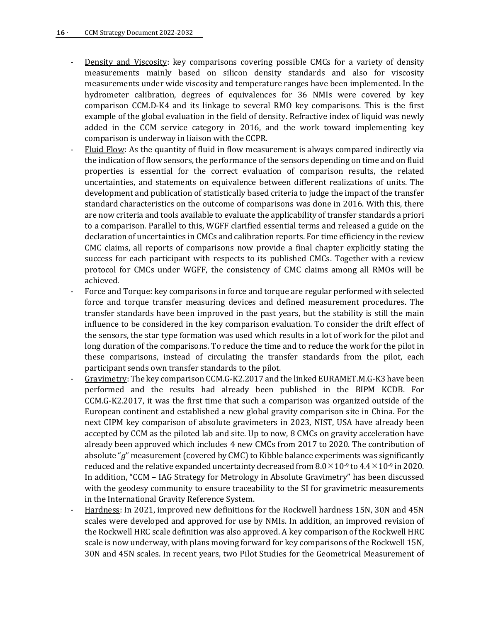- Density and Viscosity: key comparisons covering possible CMCs for a variety of density measurements mainly based on silicon density standards and also for viscosity measurements under wide viscosity and temperature ranges have been implemented. In the hydrometer calibration, degrees of equivalences for 36 NMIs were covered by key comparison CCM.D-K4 and its linkage to several RMO key comparisons. This is the first example of the global evaluation in the field of density. Refractive index of liquid was newly added in the CCM service category in 2016, and the work toward implementing key comparison is underway in liaison with the CCPR.
- Fluid Flow: As the quantity of fluid in flow measurement is always compared indirectly via the indication of flow sensors, the performance of the sensors depending on time and on fluid properties is essential for the correct evaluation of comparison results, the related uncertainties, and statements on equivalence between different realizations of units. The development and publication of statistically based criteria to judge the impact of the transfer standard characteristics on the outcome of comparisons was done in 2016. With this, there are now criteria and tools available to evaluate the applicability of transfer standards a priori to a comparison. Parallel to this, WGFF clarified essential terms and released a guide on the declaration of uncertainties in CMCs and calibration reports. For time efficiency in the review CMC claims, all reports of comparisons now provide a final chapter explicitly stating the success for each participant with respects to its published CMCs. Together with a review protocol for CMCs under WGFF, the consistency of CMC claims among all RMOs will be achieved.
- Force and Torque: key comparisons in force and torque are regular performed with selected force and torque transfer measuring devices and defined measurement procedures. The transfer standards have been improved in the past years, but the stability is still the main influence to be considered in the key comparison evaluation. To consider the drift effect of the sensors, the star type formation was used which results in a lot of work for the pilot and long duration of the comparisons. To reduce the time and to reduce the work for the pilot in these comparisons, instead of circulating the transfer standards from the pilot, each participant sends own transfer standards to the pilot.
- Gravimetry: The key comparison CCM.G-K2.2017 and the linked EURAMET.M.G-K3 have been performed and the results had already been published in the BIPM KCDB. For CCM.G-K2.2017, it was the first time that such a comparison was organized outside of the European continent and established a new global gravity comparison site in China. For the next CIPM key comparison of absolute gravimeters in 2023, NIST, USA have already been accepted by CCM as the piloted lab and site. Up to now, 8 CMCs on gravity acceleration have already been approved which includes 4 new CMCs from 2017 to 2020. The contribution of absolute "*g*" measurement (covered by CMC) to Kibble balance experiments was significantly reduced and the relative expanded uncertainty decreased from  $8.0\times10^{-9}$  to  $4.4\times10^{-9}$  in 2020. In addition, "CCM – IAG Strategy for Metrology in Absolute Gravimetry" has been discussed with the geodesy community to ensure traceability to the SI for gravimetric measurements in the International Gravity Reference System.
- Hardness: In 2021, improved new definitions for the Rockwell hardness 15N, 30N and 45N scales were developed and approved for use by NMIs. In addition, an improved revision of the Rockwell HRC scale definition was also approved. A key comparison of the Rockwell HRC scale is now underway, with plans moving forward for key comparisons of the Rockwell 15N, 30N and 45N scales. In recent years, two Pilot Studies for the Geometrical Measurement of